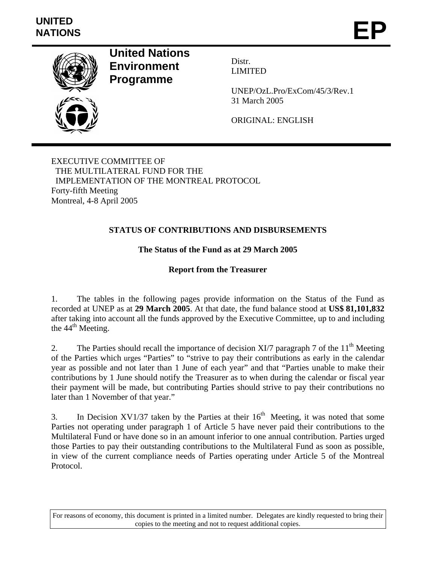

**United Nations Environment Programme** 

Distr. LIMITED

UNEP/OzL.Pro/ExCom/45/3/Rev.1 31 March 2005

ORIGINAL: ENGLISH

EXECUTIVE COMMITTEE OF THE MULTILATERAL FUND FOR THE IMPLEMENTATION OF THE MONTREAL PROTOCOL Forty-fifth Meeting Montreal, 4-8 April 2005

# **STATUS OF CONTRIBUTIONS AND DISBURSEMENTS**

# **The Status of the Fund as at 29 March 2005**

## **Report from the Treasurer**

1. The tables in the following pages provide information on the Status of the Fund as recorded at UNEP as at **29 March 2005**. At that date, the fund balance stood at **US\$ 81,101,832**  after taking into account all the funds approved by the Executive Committee, up to and including the  $44<sup>th</sup>$  Meeting.

2. The Parties should recall the importance of decision XI/7 paragraph 7 of the  $11<sup>th</sup>$  Meeting of the Parties which urges "Parties" to "strive to pay their contributions as early in the calendar year as possible and not later than 1 June of each year" and that "Parties unable to make their contributions by 1 June should notify the Treasurer as to when during the calendar or fiscal year their payment will be made, but contributing Parties should strive to pay their contributions no later than 1 November of that year."

3. In Decision XV1/37 taken by the Parties at their  $16<sup>th</sup>$  Meeting, it was noted that some Parties not operating under paragraph 1 of Article 5 have never paid their contributions to the Multilateral Fund or have done so in an amount inferior to one annual contribution. Parties urged those Parties to pay their outstanding contributions to the Multilateral Fund as soon as possible, in view of the current compliance needs of Parties operating under Article 5 of the Montreal Protocol.

For reasons of economy, this document is printed in a limited number. Delegates are kindly requested to bring their copies to the meeting and not to request additional copies.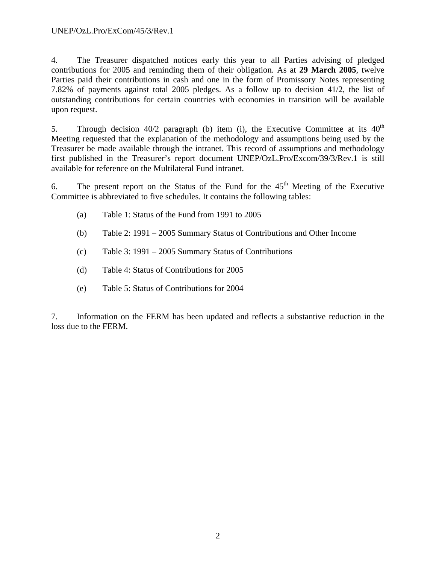4. The Treasurer dispatched notices early this year to all Parties advising of pledged contributions for 2005 and reminding them of their obligation. As at **29 March 2005**, twelve Parties paid their contributions in cash and one in the form of Promissory Notes representing 7.82% of payments against total 2005 pledges. As a follow up to decision 41/2, the list of outstanding contributions for certain countries with economies in transition will be available upon request.

5. Through decision  $40/2$  paragraph (b) item (i), the Executive Committee at its  $40<sup>th</sup>$ Meeting requested that the explanation of the methodology and assumptions being used by the Treasurer be made available through the intranet. This record of assumptions and methodology first published in the Treasurer's report document UNEP/OzL.Pro/Excom/39/3/Rev.1 is still available for reference on the Multilateral Fund intranet.

6. The present report on the Status of the Fund for the  $45<sup>th</sup>$  Meeting of the Executive Committee is abbreviated to five schedules. It contains the following tables:

- (a) Table 1: Status of the Fund from 1991 to 2005
- (b) Table 2: 1991 2005 Summary Status of Contributions and Other Income
- (c) Table 3: 1991 2005 Summary Status of Contributions
- (d) Table 4: Status of Contributions for 2005
- (e) Table 5: Status of Contributions for 2004

7. Information on the FERM has been updated and reflects a substantive reduction in the loss due to the FERM.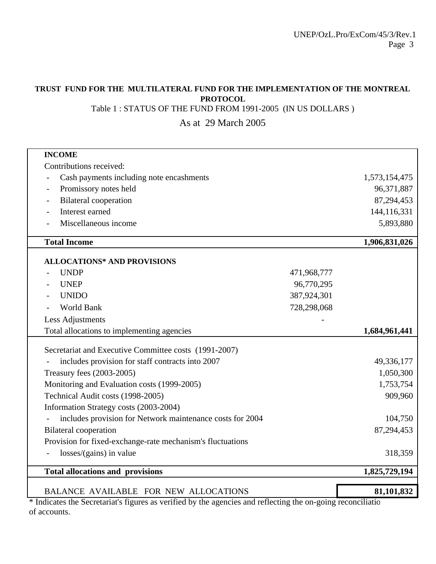## **TRUST FUND FOR THE MULTILATERAL FUND FOR THE IMPLEMENTATION OF THE MONTREAL PROTOCOL**

Table 1 : STATUS OF THE FUND FROM 1991-2005 (IN US DOLLARS )

As at 29 March 2005

| <b>INCOME</b>                                              |             |               |
|------------------------------------------------------------|-------------|---------------|
| Contributions received:                                    |             |               |
| Cash payments including note encashments                   |             | 1,573,154,475 |
| Promissory notes held<br>$\qquad \qquad -$                 |             | 96,371,887    |
| <b>Bilateral</b> cooperation<br>$\qquad \qquad -$          |             | 87,294,453    |
| Interest earned                                            |             | 144,116,331   |
| Miscellaneous income                                       |             | 5,893,880     |
| <b>Total Income</b>                                        |             | 1,906,831,026 |
| <b>ALLOCATIONS* AND PROVISIONS</b>                         |             |               |
| <b>UNDP</b>                                                | 471,968,777 |               |
| <b>UNEP</b>                                                | 96,770,295  |               |
| <b>UNIDO</b>                                               | 387,924,301 |               |
| World Bank                                                 | 728,298,068 |               |
| Less Adjustments                                           |             |               |
| Total allocations to implementing agencies                 |             | 1,684,961,441 |
| Secretariat and Executive Committee costs (1991-2007)      |             |               |
| includes provision for staff contracts into 2007           |             | 49,336,177    |
| Treasury fees (2003-2005)                                  |             | 1,050,300     |
| Monitoring and Evaluation costs (1999-2005)                |             | 1,753,754     |
|                                                            |             |               |
| Technical Audit costs (1998-2005)                          |             | 909,960       |
| Information Strategy costs (2003-2004)                     |             |               |
| includes provision for Network maintenance costs for 2004  |             | 104,750       |
| <b>Bilateral</b> cooperation                               |             | 87,294,453    |
| Provision for fixed-exchange-rate mechanism's fluctuations |             |               |
| losses/(gains) in value                                    |             | 318,359       |
| <b>Total allocations and provisions</b>                    |             | 1,825,729,194 |

\* Indicates the Secretariat's figures as verified by the agencies and reflecting the on-going reconciliatio of accounts.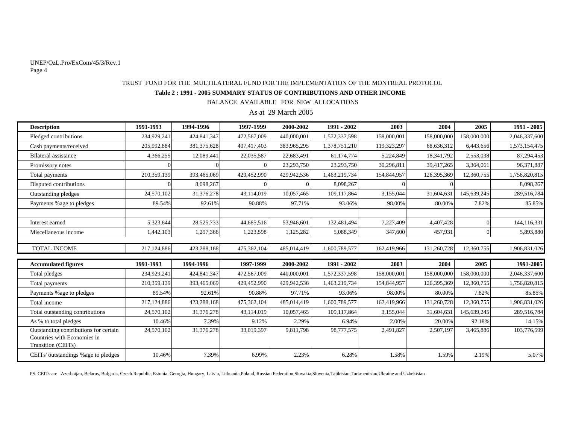#### UNEP/OzL.Pro/ExCom/45/3/Rev.1 Page 4

## **Table 2 : 1991 - 2005 SUMMARY STATUS OF CONTRIBUTIONS AND OTHER INCOME** TRUST FUND FOR THE MULTILATERAL FUND FOR THE IMPLEMENTATION OF THE MONTREAL PROTOCOL

BALANCE AVAILABLE FOR NEW ALLOCATIONS

As at 29 March 2005

| <b>Description</b>                                                                         | 1991-1993   | 1994-1996   | 1997-1999   | 2000-2002   | 1991 - 2002   | 2003        | 2004        | 2005        | 1991 - 2005   |
|--------------------------------------------------------------------------------------------|-------------|-------------|-------------|-------------|---------------|-------------|-------------|-------------|---------------|
| Pledged contributions                                                                      | 234,929,241 | 424,841,347 | 472,567,009 | 440,000,001 | 1,572,337,598 | 158,000,001 | 158,000,000 | 158,000,000 | 2,046,337,600 |
| Cash payments/received                                                                     | 205,992,884 | 381,375,628 | 407,417,403 | 383,965,295 | 1,378,751,210 | 119,323,297 | 68,636,312  | 6,443,656   | 1,573,154,475 |
| <b>Bilateral</b> assistance                                                                | 4,366,255   | 12,089,441  | 22,035,587  | 22,683,491  | 61,174,774    | 5,224,849   | 18,341,792  | 2,553,038   | 87,294,453    |
| Promissory notes                                                                           |             |             | $\Omega$    | 23,293,750  | 23,293,750    | 30,296,811  | 39,417,265  | 3,364,061   | 96,371,887    |
| Total payments                                                                             | 210,359,139 | 393,465,069 | 429,452,990 | 429,942,536 | 1,463,219,734 | 154,844,957 | 126,395,369 | 12,360,755  | 1,756,820,815 |
| Disputed contributions                                                                     |             | 8,098,267   |             |             | 8,098,267     |             |             |             | 8,098,267     |
| Outstanding pledges                                                                        | 24,570,102  | 31,376,278  | 43,114,019  | 10,057,465  | 109,117,864   | 3,155,044   | 31,604,631  | 145,639,245 | 289,516,784   |
| Payments %age to pledges                                                                   | 89.54%      | 92.61%      | 90.88%      | 97.71%      | 93.06%        | 98.00%      | 80.00%      | 7.82%       | 85.85%        |
|                                                                                            |             |             |             |             |               |             |             |             |               |
| Interest earned                                                                            | 5,323,644   | 28,525,733  | 44,685,516  | 53,946,601  | 132,481,494   | 7,227,409   | 4,407,428   |             | 144,116,331   |
| Miscellaneous income                                                                       | 1,442,103   | 1,297,366   | 1,223,598   | 1,125,282   | 5,088,349     | 347,600     | 457,931     |             | 5,893,880     |
|                                                                                            |             |             |             |             |               |             |             |             |               |
| TOTAL INCOME                                                                               | 217,124,886 | 423,288,168 | 475,362,104 | 485,014,419 | 1,600,789,577 | 162,419,966 | 131,260,728 | 12,360,755  | 1,906,831,026 |
| <b>Accumulated figures</b>                                                                 | 1991-1993   | 1994-1996   | 1997-1999   | 2000-2002   | 1991 - 2002   | 2003        | 2004        | 2005        | 1991-2005     |
|                                                                                            | 234,929,241 | 424,841,347 | 472,567,009 | 440,000,001 | 1,572,337,598 | 158,000,001 | 158,000,000 | 158,000,000 | 2,046,337,600 |
| Total pledges                                                                              |             |             |             |             |               |             |             |             |               |
| Total payments                                                                             | 210,359,139 | 393,465,069 | 429,452,990 | 429,942,536 | 1,463,219,734 | 154,844,957 | 126,395,369 | 12,360,755  | 1,756,820,815 |
| Payments %age to pledges                                                                   | 89.54%      | 92.61%      | 90.88%      | 97.71%      | 93.06%        | 98.00%      | 80.00%      | 7.82%       | 85.85%        |
| Total income                                                                               | 217,124,886 | 423,288,168 | 475,362,104 | 485,014,419 | 1,600,789,577 | 162,419,966 | 131,260,728 | 12,360,755  | 1,906,831,026 |
| Total outstanding contributions                                                            | 24,570,102  | 31,376,278  | 43,114,019  | 10,057,465  | 109,117,864   | 3,155,044   | 31,604,631  | 145,639,245 | 289,516,784   |
| As % to total pledges                                                                      | 10.46%      | 7.39%       | 9.12%       | 2.29%       | 6.94%         | 2.00%       | 20.00%      | 92.18%      | 14.15%        |
| Outstanding contributions for certain<br>Countries with Economies in<br>Transition (CEITs) | 24,570,102  | 31,376,278  | 33,019,397  | 9,811,798   | 98,777,575    | 2,491,827   | 2,507,197   | 3,465,886   | 103,776,599   |
| CEITs' outstandings % age to pledges                                                       | 10.46%      | 7.39%       | 6.99%       | 2.23%       | 6.28%         | 1.58%       | 1.59%       | 2.19%       | 5.07%         |

PS: CEITs are Azerbaijan, Belarus, Bulgaria, Czech Republic, Estonia, Georgia, Hungary, Latvia, Lithuania,Poland, Russian Federation,Slovakia,Slovenia,Tajikistan,Turkmenistan,Ukraine and Uzbekistan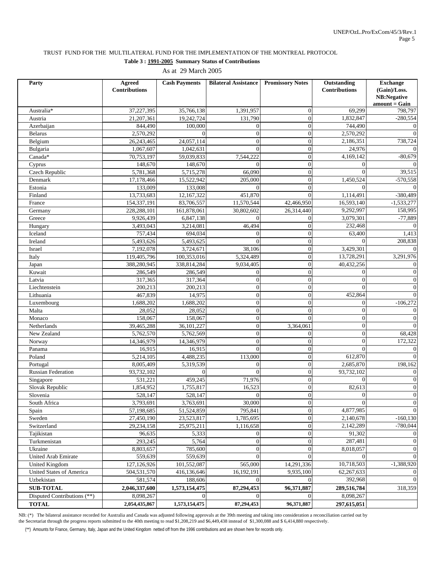## TRUST FUND FOR THE MULTILATERAL FUND FOR THE IMPLEMENTATION OF THE MONTREAL PROTOCOL

**Table 3 : 1991-2005 Summary Status of Contributions**

As at 29 March 2005

| Party                       | <b>Agreed</b>        | <b>Cash Payments</b> | <b>Bilateral Assistance</b> | <b>Promissory Notes</b> | Outstanding          | <b>Exchange</b>                |
|-----------------------------|----------------------|----------------------|-----------------------------|-------------------------|----------------------|--------------------------------|
|                             | <b>Contributions</b> |                      |                             |                         | <b>Contributions</b> | (Gain)/Loss.                   |
|                             |                      |                      |                             |                         |                      | NB:Negative<br>$amount = Gain$ |
| Australia*                  | 37,227,395           | 35,766,138           | 1,391,957                   | $\overline{0}$          | 69,299               | 798,797                        |
| Austria                     | 21,207,361           | 19,242,724           | 131,790                     | $\overline{0}$          | 1,832,847            | $-280,554$                     |
| Azerbaijan                  | 844,490              | 100,000              | $\theta$                    | $\boldsymbol{0}$        | 744,490              | $\overline{0}$                 |
| Belarus                     | 2,570,292            | $\Omega$             | $\mathbf{0}$                | $\overline{0}$          | 2,570,292            | $\Omega$                       |
| Belgium                     | 26,243,465           | 24,057,114           | $\Omega$                    | $\overline{0}$          | 2,186,351            | 738,724                        |
| Bulgaria                    | 1,067,607            | 1,042,631            | $\Omega$                    | $\boldsymbol{0}$        | 24,976               | $\theta$                       |
| Canada*                     | 70,753,197           | 59,039,833           | 7,544,222                   | $\overline{0}$          | 4,169,142            | $-80,679$                      |
| Cyprus                      | 148,670              | 148,670              | $\mathbf{0}$                | $\boldsymbol{0}$        | $\Omega$             | $\theta$                       |
| Czech Republic              | 5,781,368            | 5,715,278            | 66.090                      | $\overline{0}$          | $\theta$             | 39,515                         |
| Denmark                     | 17,178,466           | 15,522,942           | 205,000                     | $\overline{0}$          | 1,450,524            | $-570,558$                     |
| Estonia                     | 133,009              | 133,008              | $\Omega$                    | $\theta$                | $\Omega$             | $\theta$                       |
| Finland                     | 13,733,683           | 12,167,322           | 451,870                     | $\theta$                | 1,114,491            | $-380,489$                     |
| France                      | 154,337,191          | 83,706,557           | 11,570,544                  | 42,466,950              | 16,593,140           | $-1,533,277$                   |
| Germany                     | 228,288,101          | 161,878,061          | 30,802,602                  | 26,314,440              | 9,292,997            | 158,995                        |
| Greece                      | 9,926,439            | 6,847,138            | $\Omega$                    | $\overline{0}$          | 3,079,301            | $-77,889$                      |
| Hungary                     | 3,493,043            | 3,214,081            | 46,494                      | $\theta$                | 232,468              | $\overline{0}$                 |
| Iceland                     | 757,434              | 694,034              | $\Omega$                    | $\overline{0}$          | 63,400               | 1,413                          |
| Ireland                     | 5,493,626            | 5,493,625            | $\mathbf{0}$                | $\boldsymbol{0}$        | $\Omega$             | 208,838                        |
| Israel                      | 7,192,078            | 3,724,671            | 38,106                      | $\overline{0}$          | 3,429,301            | $\mathbf{0}$                   |
| Italy                       | 119,405,796          | 100,353,016          | 5,324,489                   | $\overline{0}$          | 13,728,291           | 3,291,976                      |
| Japan                       | 388,280,945          | 338,814,284          | 9,034,405                   | $\overline{0}$          | 40,432,256           | $\mathbf{0}$                   |
| Kuwait                      | 286,549              | 286,549              | $\mathbf{0}$                | $\overline{0}$          | $\mathbf{0}$         | $\boldsymbol{0}$               |
| Latvia                      | 317,365              | 317,364              | $\boldsymbol{0}$            | $\boldsymbol{0}$        | $\overline{0}$       | $\boldsymbol{0}$               |
| Liechtenstein               | 200,213              | 200,213              | $\mathbf{0}$                | $\overline{0}$          | $\theta$             | $\boldsymbol{0}$               |
| Lithuania                   | 467,839              | 14,975               | $\mathbf{0}$                | $\overline{0}$          | 452,864              | $\mathbf{0}$                   |
| Luxembourg                  | 1,688,202            | 1,688,202            | $\overline{0}$              | $\overline{0}$          | $\Omega$             | $-106,272$                     |
| Malta                       | 28,052               | 28,052               | $\mathbf{0}$                | $\overline{0}$          | $\mathbf{0}$         | $\mathbf{0}$                   |
| Monaco                      | 158,067              | 158,067              | $\boldsymbol{0}$            | $\overline{0}$          | $\boldsymbol{0}$     | $\mathbf{0}$                   |
| Netherlands                 | 39,465,288           | 36,101,227           | $\mathbf{0}$                | 3,364,061               | $\overline{0}$       | $\Omega$                       |
| New Zealand                 | 5,762,570            | 5,762,569            | $\mathbf{0}$                | $\mathbf{0}$            | $\mathbf{0}$         | 68,428                         |
| Norway                      | 14,346,979           | 14,346,979           | $\Omega$                    | $\overline{0}$          | $\theta$             | 172,322                        |
| Panama                      | 16,915               | 16,915               | $\Omega$                    | $\overline{0}$          | $\Omega$             | $\overline{0}$                 |
| Poland                      | 5,214,105            | 4,488,235            | 113,000                     | $\boldsymbol{0}$        | 612,870              | $\mathbf{0}$                   |
| Portugal                    | 8,005,409            | 5,319,539            | $\mathbf{0}$                | $\overline{0}$          | 2,685,870            | 198,162                        |
| <b>Russian Federation</b>   | 93,732,102           | $\Omega$             | $\Omega$                    | $\overline{0}$          | 93,732,102           | $\boldsymbol{0}$               |
| Singapore                   | 531,221              | 459,245              | 71,976                      | $\overline{0}$          | $\Omega$             | $\overline{0}$                 |
| Slovak Republic             | 1,854,952            | 1,755,817            | 16,523                      | $\overline{0}$          | 82,613               | $\boldsymbol{0}$               |
| Slovenia                    | 528,147              | 528,147              | $\boldsymbol{0}$            | $\Omega$                | $\Omega$             | $\mathbf{0}$                   |
| South Africa                | 3,793,691            | 3,763,691            | 30,000                      | $\boldsymbol{0}$        | $\overline{0}$       | $\mathbf{0}$                   |
| Spain                       | 57,198,685           | 51,524,859           | 795,841                     | $\overline{0}$          | 4,877,985            | $\boldsymbol{0}$               |
| Sweden                      | 27,450,190           | 23,523,817           | 1,785,695                   | $\boldsymbol{0}$        | 2,140,678            | $-160, 130$                    |
| Switzerland                 | 29,234,158           | 25,975,211           | 1,116,658                   | $\boldsymbol{0}$        | 2,142,289            | $-780,044$                     |
| Tajikistan                  | 96,635               | 5,333                | $\boldsymbol{0}$            | $\boldsymbol{0}$        | 91,302               | $\boldsymbol{0}$               |
| Turkmenistan                | 293,245              | 5,764                | $\boldsymbol{0}$            | $\boldsymbol{0}$        | 287,481              | $\mathbf{0}$                   |
| Ukraine                     | 8,803,657            | 785,600              | $\mathbf{0}$                | $\overline{0}$          | 8,018,057            | $\mathbf{0}$                   |
| United Arab Emirate         | 559,639              | 559,639              | $\Omega$                    | $\Omega$                | $\Omega$             | $\boldsymbol{0}$               |
| <b>United Kingdom</b>       | 127,126,926          | 101,552,087          | 565,000                     | 14,291,336              | 10,718,503           | $-1,388,920$                   |
| United States of America    | 504,531,570          | 416,136,646          | 16,192,191                  | 9,935,100               | 62,267,633           | $\boldsymbol{0}$               |
| Uzbekistan                  | 581,574              | 188,606              | $\Omega$                    | $\Omega$                | 392,968              | $\mathbf{0}$                   |
| <b>SUB-TOTAL</b>            | 2,046,337,600        | 1,573,154,475        | 87,294,453                  | 96,371,887              | 289,516,784          | 318,359                        |
| Disputed Contributions (**) | 8,098,267            | $\Omega$             |                             |                         | 8,098,267            |                                |
| <b>TOTAL</b>                | 2,054,435,867        | 1,573,154,475        | 87,294,453                  | 96,371,887              | 297,615,051          |                                |

NB: (\*) The bilateral assistance recorded for Australia and Canada was adjusted following approvals at the 39th meeting and taking into consideration a reconciliation carried out by the Secretariat through the progress reports submitted to the 40th meeting to read \$1,208,219 and \$6,449,438 instead of \$1,300,088 and \$ 6,414,880 respectively.

(\*\*) Amounts for France, Germany, Italy, Japan and the United Kingdom netted off from the 1996 contributions and are shown here for records only.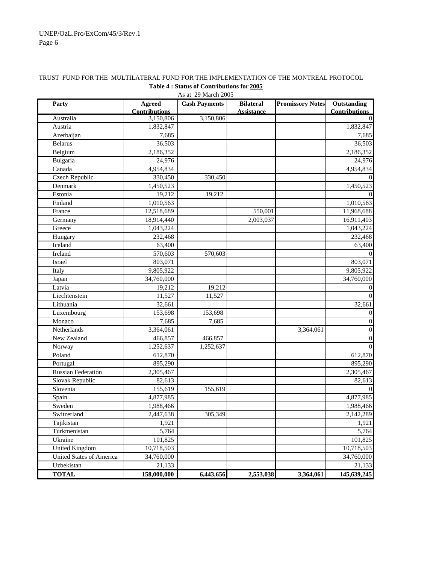| Party                           | <b>Agreed</b>          | AS at 29 March 2005<br><b>Cash Payments</b> | <b>Bilateral</b>  | <b>Promissory Notes</b> | Outstanding          |
|---------------------------------|------------------------|---------------------------------------------|-------------------|-------------------------|----------------------|
|                                 | <b>Contributions</b>   |                                             | <b>Assistance</b> |                         | <b>Contributions</b> |
| Australia                       | 3,150,806              | 3,150,806                                   |                   |                         |                      |
| Austria                         | 1,832,847              |                                             |                   |                         | 1,832,847            |
| Azerbaijan                      | 7,685                  |                                             |                   |                         | 7,685                |
| <b>Belarus</b>                  | 36,503                 |                                             |                   |                         | 36,503               |
| Belgium                         | 2,186,352              |                                             |                   |                         | 2,186,352            |
| Bulgaria                        | 24,976                 |                                             |                   |                         | 24,976               |
| Canada                          | 4,954,834              |                                             |                   |                         | 4,954,834            |
| Czech Republic                  | 330,450                | 330,450                                     |                   |                         |                      |
| Denmark                         | 1,450,523              |                                             |                   |                         | 1,450,523            |
| Estonia                         | 19,212                 | 19,212                                      |                   |                         |                      |
| Finland                         | 1,010,563              |                                             |                   |                         | 1,010,563            |
| France                          | 12,518,689             |                                             | 550,001           |                         | 11,968,688           |
| Germany                         | 18,914,440             |                                             | 2,003,037         |                         | 16,911,403           |
| Greece                          | 1,043,224              |                                             |                   |                         | 1,043,224            |
| Hungary                         | 232,468                |                                             |                   |                         | 232,468              |
| Iceland                         | 63,400                 |                                             |                   |                         | 63,400               |
| Ireland                         | 570,603                | 570,603                                     |                   |                         |                      |
| Israel                          | 803,071                |                                             |                   |                         | 803,071              |
| Italy                           | 9,805,922              |                                             |                   |                         | 9,805,922            |
| Japan                           | 34,760,000             |                                             |                   |                         | 34,760,000           |
| Latvia                          | 19,212                 | 19,212                                      |                   |                         |                      |
| Liechtenstein                   | 11,527                 | 11,527                                      |                   |                         |                      |
| Lithuania                       | 32,661                 |                                             |                   |                         | 32,661               |
| Luxembourg                      | 153,698                | 153,698                                     |                   |                         | $\Omega$             |
| Monaco                          | 7,685                  | 7,685                                       |                   |                         | $\Omega$             |
| Netherlands                     | 3,364,061              |                                             |                   | 3,364,061               | $\Omega$             |
| New Zealand                     | 466,857                | 466,857                                     |                   |                         | $\Omega$             |
| Norway                          | $\overline{1,}252,637$ | 1,252,637                                   |                   |                         |                      |
| Poland                          | 612,870                |                                             |                   |                         | 612,870              |
| Portugal                        | 895,290                |                                             |                   |                         | 895,290              |
| <b>Russian Federation</b>       | 2,305,467              |                                             |                   |                         | 2,305,467            |
| Slovak Republic                 | 82,613                 |                                             |                   |                         | 82,613               |
| Slovenia                        | 155,619                | 155,619                                     |                   |                         |                      |
| Spain                           | 4,877,985              |                                             |                   |                         | 4,877,985            |
| Sweden                          | 1,988,466              |                                             |                   |                         | 1,988,466            |
| Switzerland                     | 2,447,638              | 305,349                                     |                   |                         | 2,142,289            |
| Tajikistan                      | 1,921                  |                                             |                   |                         | 1,921                |
| Turkmenistan                    | 5,764                  |                                             |                   |                         | 5,764                |
| Ukraine                         | 101,825                |                                             |                   |                         | 101,825              |
| <b>United Kingdom</b>           | 10,718,503             |                                             |                   |                         | 10,718,503           |
| <b>United States of America</b> | 34,760,000             |                                             |                   |                         | 34,760,000           |
| Uzbekistan                      | 21,133                 |                                             |                   |                         | 21,133               |
| <b>TOTAL</b>                    | 158,000,000            | 6,443,656                                   | 2,553,038         | 3,364,061               | 145,639,245          |

## TRUST FUND FOR THE MULTILATERAL FUND FOR THE IMPLEMENTATION OF THE MONTREAL PROTOCOL **Table 4 : Status of Contributions for 2005**

As at 29 March 2005